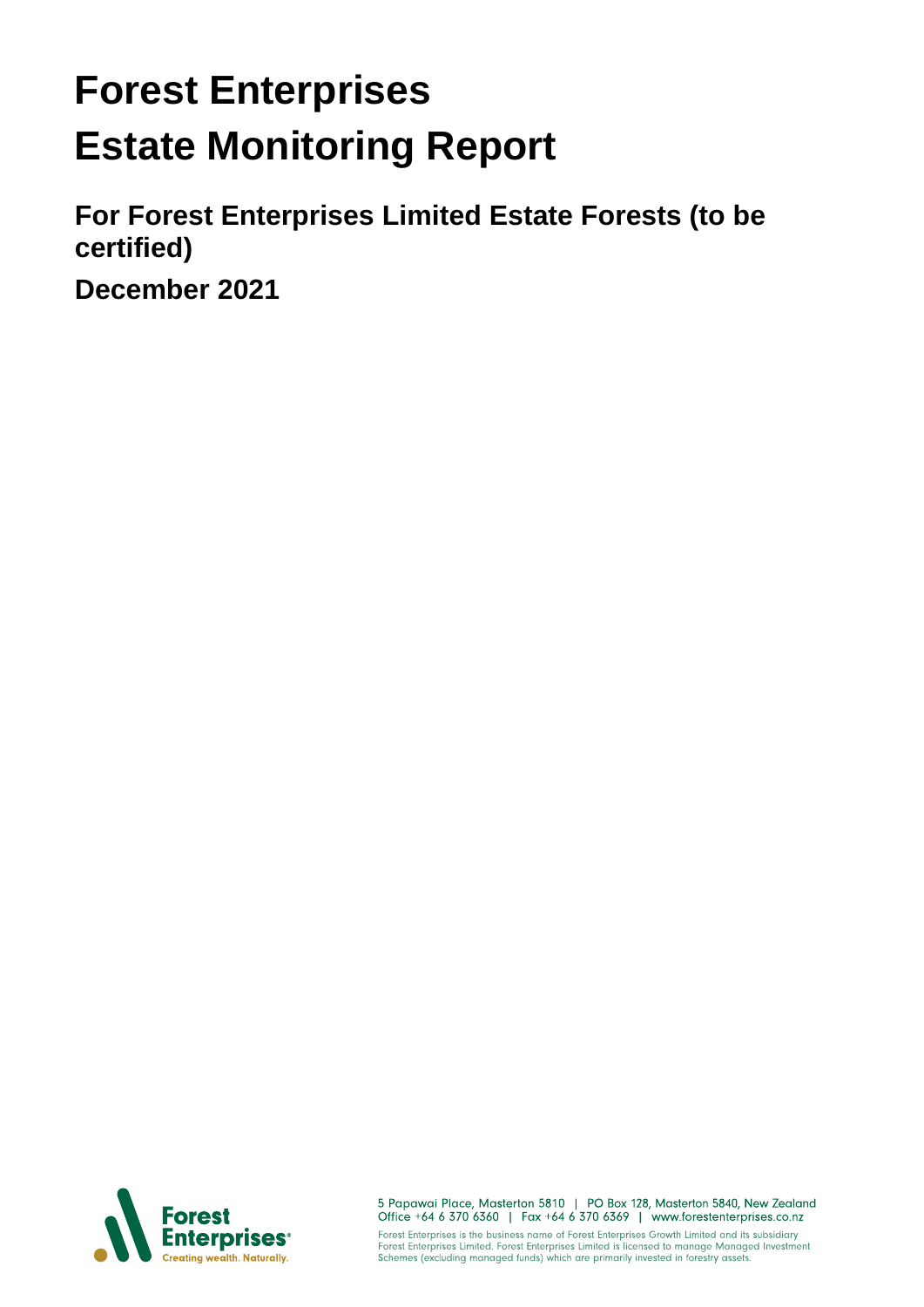# **Forest Enterprises Estate Monitoring Report**

**For Forest Enterprises Limited Estate Forests (to be certified)**

**December 2021**



5 Papawai Place, Masterton 5810 | PO Box 128, Masterton 5840, New Zealand<br>Office +64 6 370 6360 | Fax +64 6 370 6369 | www.forestenterprises.co.nz Forest Enterprises is the business name of Forest Enterprises Growth Limited and its subsidiary<br>Forest Enterprises Limited. Forest Enterprises Limited is licensed to manage Managed Investment<br>Schemes (excluding managed fun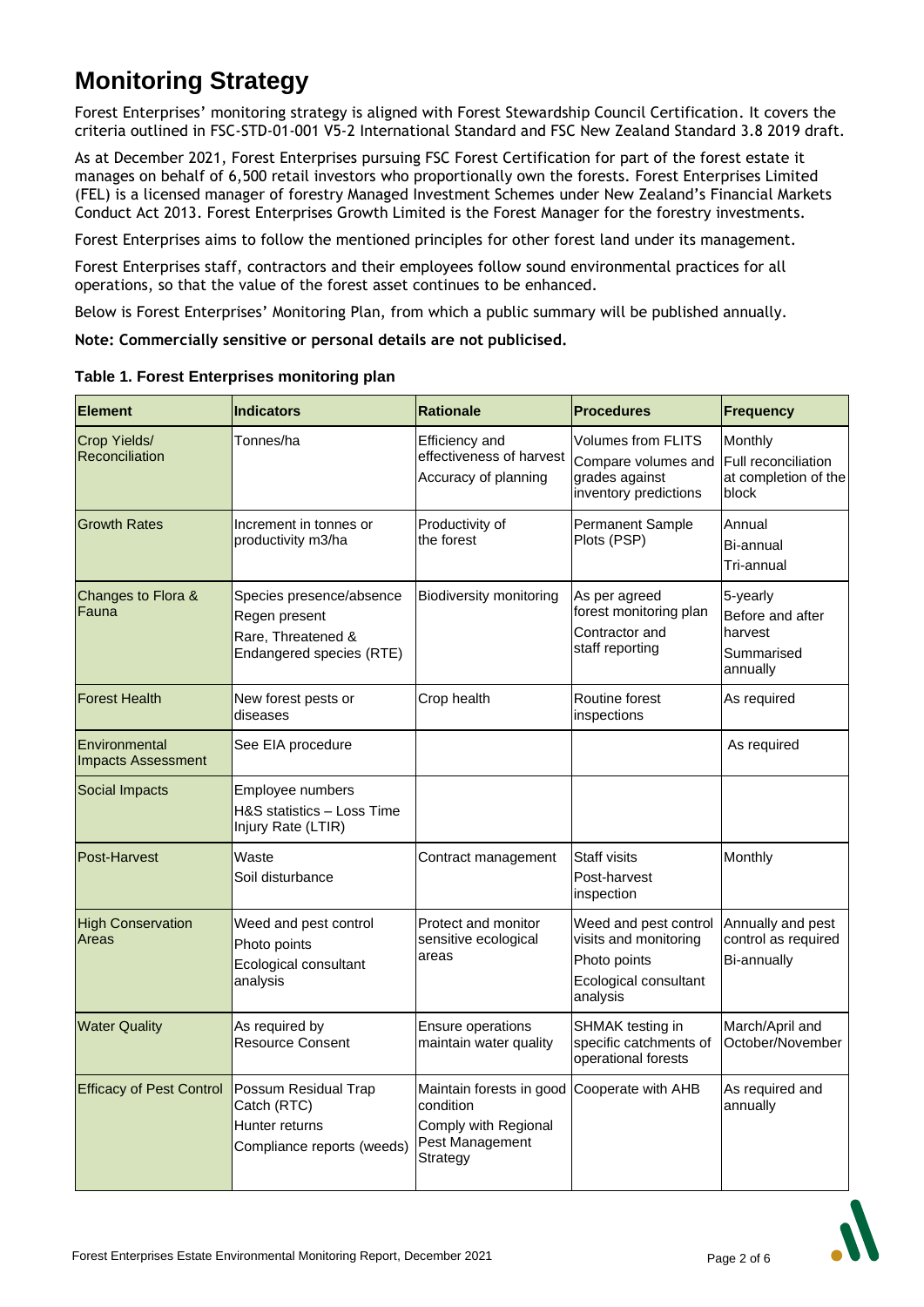# **Monitoring Strategy**

Forest Enterprises' monitoring strategy is aligned with Forest Stewardship Council Certification. It covers the criteria outlined in FSC-STD-01-001 V5-2 International Standard and FSC New Zealand Standard 3.8 2019 draft.

As at December 2021, Forest Enterprises pursuing FSC Forest Certification for part of the forest estate it manages on behalf of 6,500 retail investors who proportionally own the forests. Forest Enterprises Limited (FEL) is a licensed manager of forestry Managed Investment Schemes under New Zealand's Financial Markets Conduct Act 2013. Forest Enterprises Growth Limited is the Forest Manager for the forestry investments.

Forest Enterprises aims to follow the mentioned principles for other forest land under its management.

Forest Enterprises staff, contractors and their employees follow sound environmental practices for all operations, so that the value of the forest asset continues to be enhanced.

Below is Forest Enterprises' Monitoring Plan, from which a public summary will be published annually.

**Note: Commercially sensitive or personal details are not publicised.** 

| <b>Element</b>                             | <b>Indicators</b>                                                                           | <b>Rationale</b>                                                                                                | <b>Procedures</b>                                                                                   | Frequency                                                         |
|--------------------------------------------|---------------------------------------------------------------------------------------------|-----------------------------------------------------------------------------------------------------------------|-----------------------------------------------------------------------------------------------------|-------------------------------------------------------------------|
| Crop Yields/<br>Reconciliation             | Tonnes/ha                                                                                   | Efficiency and<br>effectiveness of harvest<br>Accuracy of planning                                              | Volumes from FLITS<br>Compare volumes and<br>grades against<br>inventory predictions                | Monthly<br>Full reconciliation<br>at completion of the<br>block   |
| <b>Growth Rates</b>                        | Increment in tonnes or<br>productivity m3/ha                                                | Productivity of<br>the forest                                                                                   | Permanent Sample<br>Plots (PSP)                                                                     | Annual<br>Bi-annual<br>Tri-annual                                 |
| Changes to Flora &<br>Fauna                | Species presence/absence<br>Regen present<br>Rare, Threatened &<br>Endangered species (RTE) | <b>Biodiversity monitoring</b>                                                                                  | As per agreed<br>forest monitoring plan<br>Contractor and<br>staff reporting                        | 5-yearly<br>Before and after<br>harvest<br>Summarised<br>annually |
| <b>Forest Health</b>                       | New forest pests or<br>diseases                                                             | Crop health                                                                                                     | Routine forest<br>inspections                                                                       | As required                                                       |
| Environmental<br><b>Impacts Assessment</b> | See EIA procedure                                                                           |                                                                                                                 |                                                                                                     | As required                                                       |
| Social Impacts                             | Employee numbers<br>H&S statistics - Loss Time<br>Injury Rate (LTIR)                        |                                                                                                                 |                                                                                                     |                                                                   |
| Post-Harvest                               | Waste<br>Soil disturbance                                                                   | Contract management                                                                                             | Staff visits<br>Post-harvest<br>inspection                                                          | Monthly                                                           |
| <b>High Conservation</b><br>Areas          | Weed and pest control<br>Photo points<br>Ecological consultant<br>analysis                  | Protect and monitor<br>sensitive ecological<br>areas                                                            | Weed and pest control<br>visits and monitoring<br>Photo points<br>Ecological consultant<br>analysis | Annually and pest<br>control as required<br><b>Bi-annually</b>    |
| <b>Water Quality</b>                       | As required by<br><b>Resource Consent</b>                                                   | Ensure operations<br>maintain water quality                                                                     | SHMAK testing in<br>specific catchments of<br>operational forests                                   | March/April and<br>October/November                               |
| <b>Efficacy of Pest Control</b>            | Possum Residual Trap<br>Catch (RTC)<br>Hunter returns<br>Compliance reports (weeds)         | Maintain forests in good Cooperate with AHB<br>condition<br>Comply with Regional<br>Pest Management<br>Strategy |                                                                                                     | As required and<br>annually                                       |

**Table 1. Forest Enterprises monitoring plan**

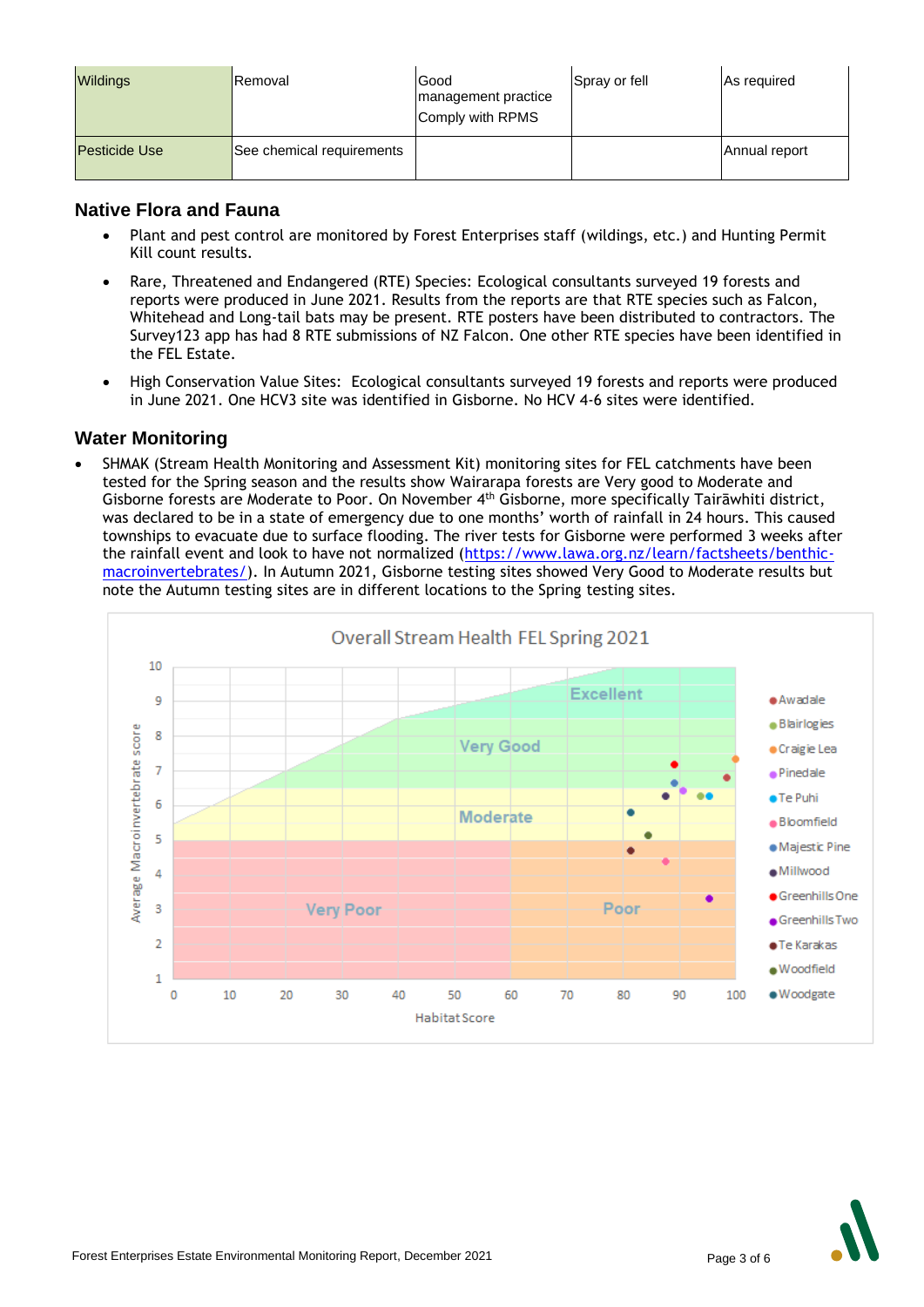| <b>Wildings</b>      | <b>IRemoval</b>           | Good<br>management practice<br>Comply with RPMS | Spray or fell | As required   |
|----------------------|---------------------------|-------------------------------------------------|---------------|---------------|
| <b>Pesticide Use</b> | See chemical requirements |                                                 |               | Annual report |

### **Native Flora and Fauna**

- Plant and pest control are monitored by Forest Enterprises staff (wildings, etc.) and Hunting Permit Kill count results.
- Rare, Threatened and Endangered (RTE) Species: Ecological consultants surveyed 19 forests and reports were produced in June 2021. Results from the reports are that RTE species such as Falcon, Whitehead and Long-tail bats may be present. RTE posters have been distributed to contractors. The Survey123 app has had 8 RTE submissions of NZ Falcon. One other RTE species have been identified in the FEL Estate.
- High Conservation Value Sites: Ecological consultants surveyed 19 forests and reports were produced in June 2021. One HCV3 site was identified in Gisborne. No HCV 4-6 sites were identified.

### **Water Monitoring**

• SHMAK (Stream Health Monitoring and Assessment Kit) monitoring sites for FEL catchments have been tested for the Spring season and the results show Wairarapa forests are Very good to Moderate and Gisborne forests are Moderate to Poor. On November 4<sup>th</sup> Gisborne, more specifically Tairāwhiti district, was declared to be in a state of emergency due to one months' worth of rainfall in 24 hours. This caused townships to evacuate due to surface flooding. The river tests for Gisborne were performed 3 weeks after the rainfall event and look to have not normalized [\(https://www.lawa.org.nz/learn/factsheets/benthic](https://www.lawa.org.nz/learn/factsheets/benthic-macroinvertebrates/)[macroinvertebrates/\)](https://www.lawa.org.nz/learn/factsheets/benthic-macroinvertebrates/). In Autumn 2021, Gisborne testing sites showed Very Good to Moderate results but note the Autumn testing sites are in different locations to the Spring testing sites.



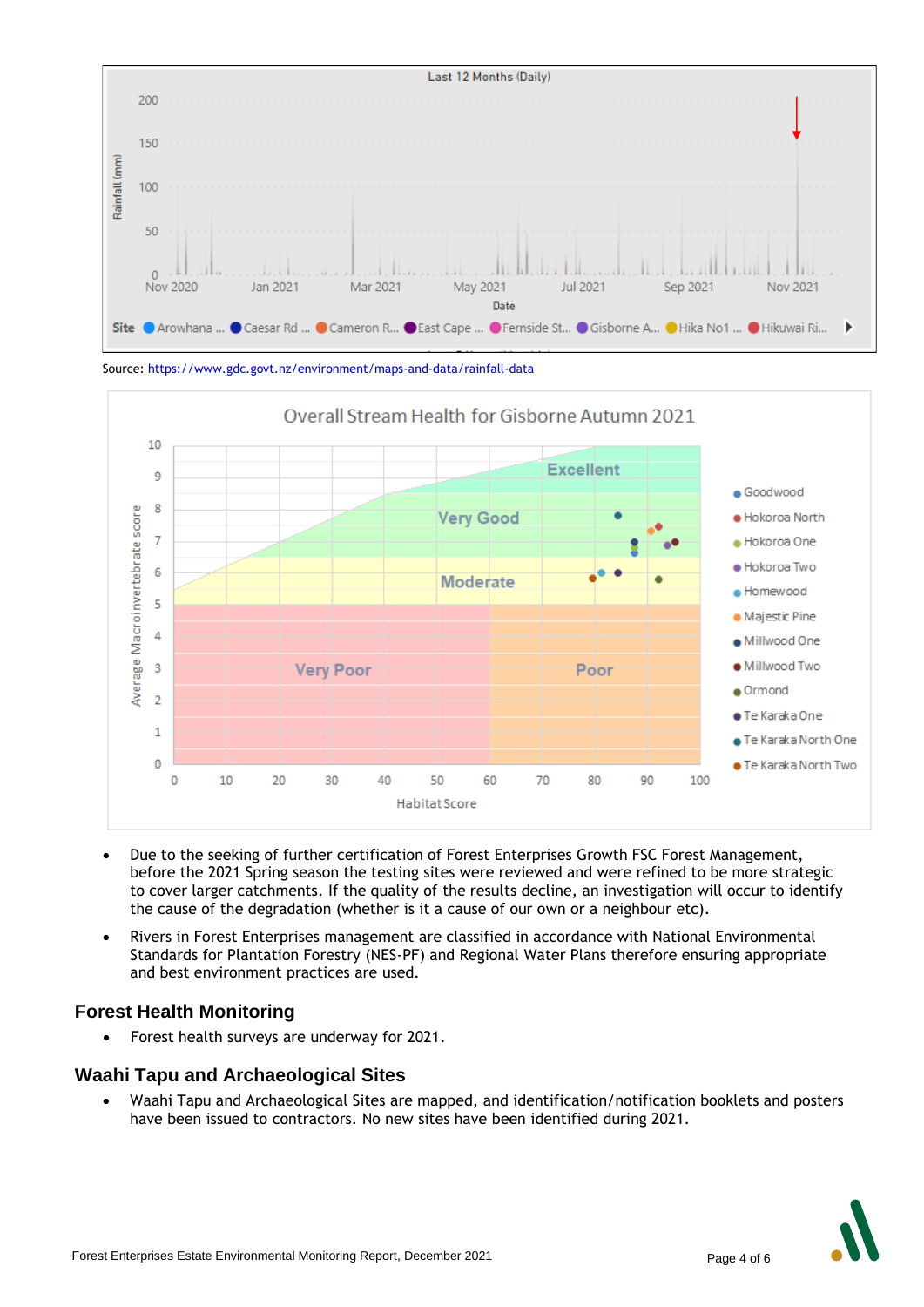

Source[: https://www.gdc.govt.nz/environment/maps-and-data/rainfall-data](https://www.gdc.govt.nz/environment/maps-and-data/rainfall-data)



- Due to the seeking of further certification of Forest Enterprises Growth FSC Forest Management, before the 2021 Spring season the testing sites were reviewed and were refined to be more strategic to cover larger catchments. If the quality of the results decline, an investigation will occur to identify the cause of the degradation (whether is it a cause of our own or a neighbour etc).
- Rivers in Forest Enterprises management are classified in accordance with National Environmental Standards for Plantation Forestry (NES-PF) and Regional Water Plans therefore ensuring appropriate and best environment practices are used.

### **Forest Health Monitoring**

• Forest health surveys are underway for 2021.

### **Waahi Tapu and Archaeological Sites**

• Waahi Tapu and Archaeological Sites are mapped, and identification/notification booklets and posters have been issued to contractors. No new sites have been identified during 2021.

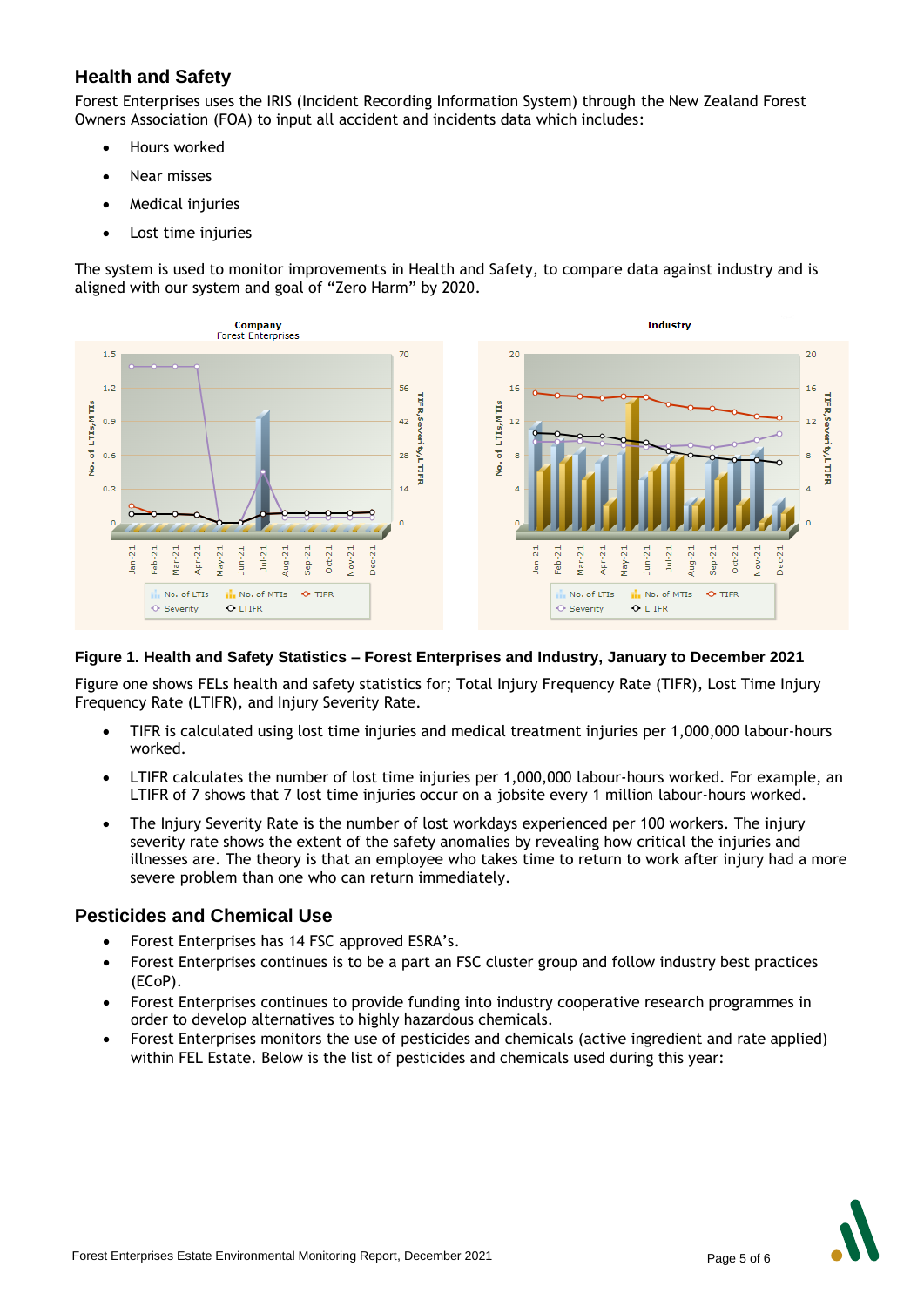## **Health and Safety**

Forest Enterprises uses the IRIS (Incident Recording Information System) through the New Zealand Forest Owners Association (FOA) to input all accident and incidents data which includes:

- Hours worked
- Near misses
- **Medical injuries**
- Lost time injuries

The system is used to monitor improvements in Health and Safety, to compare data against industry and is aligned with our system and goal of "Zero Harm" by 2020.



#### **Figure 1. Health and Safety Statistics – Forest Enterprises and Industry, January to December 2021**

Figure one shows FELs health and safety statistics for; Total Injury Frequency Rate (TIFR), Lost Time Injury Frequency Rate (LTIFR), and Injury Severity Rate.

- TIFR is calculated using lost time injuries and medical treatment injuries per 1,000,000 labour-hours worked.
- LTIFR calculates the number of lost time injuries per 1,000,000 labour-hours worked. For example, an LTIFR of 7 shows that 7 lost time injuries occur on a jobsite every 1 million labour-hours worked.
- The Injury Severity Rate is the number of lost workdays experienced per 100 workers. The injury severity rate shows the extent of the safety anomalies by revealing how critical the injuries and illnesses are. The theory is that an employee who takes time to return to work after injury had a more severe problem than one who can return immediately.

#### **Pesticides and Chemical Use**

- Forest Enterprises has 14 FSC approved ESRA's.
- Forest Enterprises continues is to be a part an FSC cluster group and follow industry best practices (ECoP).
- Forest Enterprises continues to provide funding into industry cooperative research programmes in order to develop alternatives to highly hazardous chemicals.
- Forest Enterprises monitors the use of pesticides and chemicals (active ingredient and rate applied) within FEL Estate. Below is the list of pesticides and chemicals used during this year: